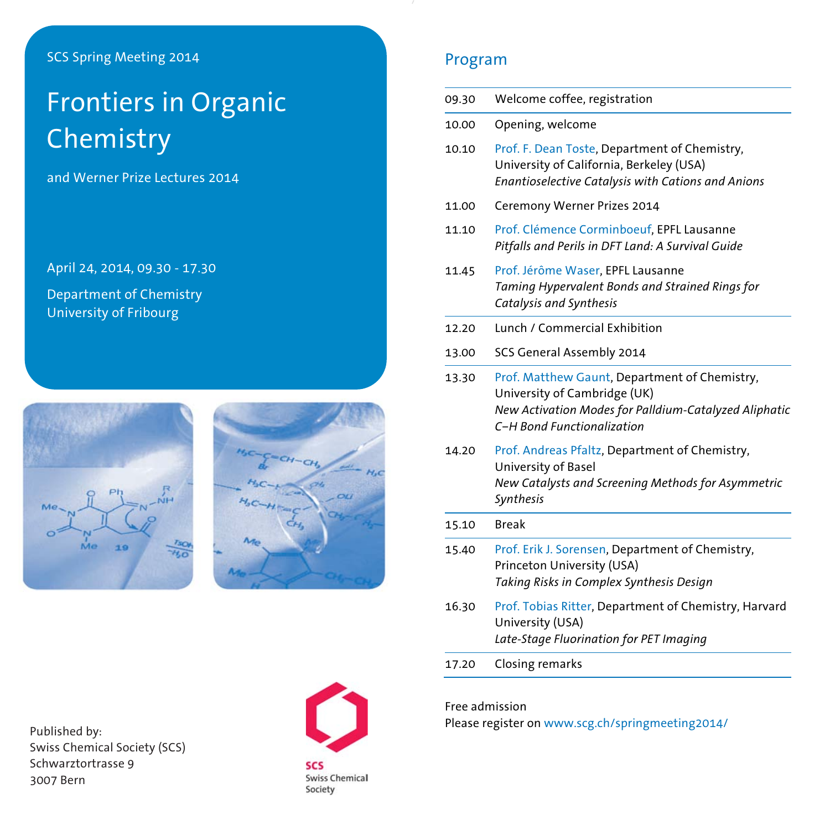## SCS Spring Meeting 2014

# Frontiers in Organic Chemistry

and Werner Prize Lectures 2014

April 24, 2014, 09.30 - 17.30

Department of Chemistry University of Fribourg





## Program

| 09.30 | Welcome coffee, registration                                                                                                                                         |
|-------|----------------------------------------------------------------------------------------------------------------------------------------------------------------------|
| 10.00 | Opening, welcome                                                                                                                                                     |
| 10.10 | Prof. F. Dean Toste, Department of Chemistry,<br>University of California, Berkeley (USA)<br>Enantioselective Catalysis with Cations and Anions                      |
| 11.00 | Ceremony Werner Prizes 2014                                                                                                                                          |
| 11.10 | Prof. Clémence Corminboeuf, EPFL Lausanne<br>Pitfalls and Perils in DFT Land: A Survival Guide                                                                       |
| 11.45 | Prof. Jérôme Waser, EPFL Lausanne<br>Taming Hypervalent Bonds and Strained Rings for<br>Catalysis and Synthesis                                                      |
| 12.20 | Lunch / Commercial Exhibition                                                                                                                                        |
| 13.00 | SCS General Assembly 2014                                                                                                                                            |
| 13.30 | Prof. Matthew Gaunt, Department of Chemistry,<br>University of Cambridge (UK)<br>New Activation Modes for Palldium-Catalyzed Aliphatic<br>C-H Bond Functionalization |
| 14.20 | Prof. Andreas Pfaltz, Department of Chemistry,<br>University of Basel<br>New Catalysts and Screening Methods for Asymmetric<br>Synthesis                             |
| 15.10 | <b>Break</b>                                                                                                                                                         |
| 15.40 | Prof. Erik J. Sorensen, Department of Chemistry,<br>Princeton University (USA)<br>Taking Risks in Complex Synthesis Design                                           |
| 16.30 | Prof. Tobias Ritter, Department of Chemistry, Harvard<br>University (USA)<br>Late-Stage Fluorination for PET Imaging                                                 |
| 17.20 | Closing remarks                                                                                                                                                      |

Published by: Swiss Chemical Society (SCS) Schwarztortrasse 9 3007 Bern



Free admission

Please register on www.scg.ch/springmeeting2014/